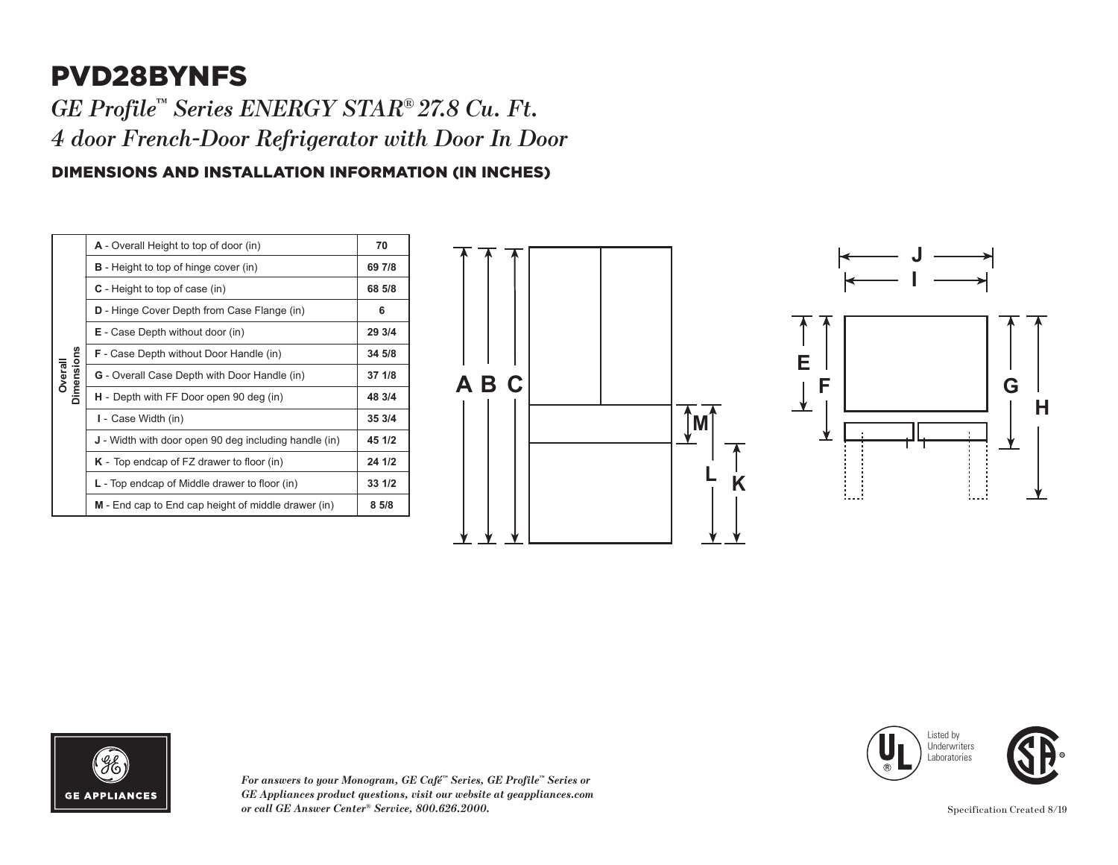## PVD28BYNFS **B G**

 $GE$  *Profile™ Series ENERGY STAR® 27.8 Cu. Ft. 4 door French-Door Refrigerator with Door In Door* **M**

## DIMENSIONS AND INSTALLATION INFORMATION (IN INCHES) **<sup>K</sup> <sup>L</sup>**

| A - Overall Height to top of door (in)                                                                                                                         | 70     |
|----------------------------------------------------------------------------------------------------------------------------------------------------------------|--------|
| <b>B</b> - Height to top of hinge cover (in)                                                                                                                   | 69 7/8 |
| $C$ - Height to top of case (in)                                                                                                                               | 68 5/8 |
| <b>D</b> - Hinge Cover Depth from Case Flange (in)                                                                                                             | 6      |
| E - Case Depth without door (in)                                                                                                                               | 29 3/4 |
| <b>F</b> - Case Depth without Door Handle (in)                                                                                                                 | 34 5/8 |
| <b>G</b> - Overall Case Depth with Door Handle (in)                                                                                                            | 37 1/8 |
| H - Depth with FF Door open 90 deg (in)                                                                                                                        | 48 3/4 |
| I - Case Width (in)                                                                                                                                            | 35 3/4 |
| <b>J</b> - Width with door open 90 deg including handle (in)<br>$K$ - Top endcap of FZ drawer to floor (in)<br>$L$ - Top endcap of Middle drawer to floor (in) | 45 1/2 |
|                                                                                                                                                                | 24 1/2 |
|                                                                                                                                                                | 33 1/2 |
| M - End cap to End cap height of middle drawer (in)                                                                                                            | 85/8   |
|                                                                                                                                                                |        |







*For answers to your Monogram, GE Café™ Series, GE Profile™ Series or GE Appliances product questions, visit our website at geappliances.com or call GE Answer Center® Service, 800.626.2000.* Specification Created 8/19